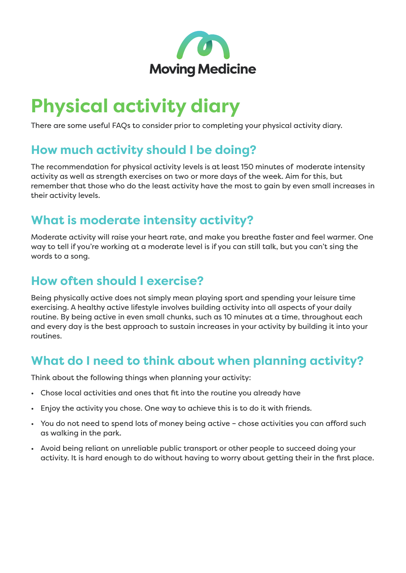

# **Physical activity diary**

There are some useful FAQs to consider prior to completing your physical activity diary.

### **How much activity should I be doing?**

The recommendation for physical activity levels is at least 150 minutes of moderate intensity activity as well as strength exercises on two or more days of the week. Aim for this, but remember that those who do the least activity have the most to gain by even small increases in their activity levels.

#### **What is moderate intensity activity?**

Moderate activity will raise your heart rate, and make you breathe faster and feel warmer. One way to tell if you're working at a moderate level is if you can still talk, but you can't sing the words to a song.

#### **How often should I exercise?**

Being physically active does not simply mean playing sport and spending your leisure time exercising. A healthy active lifestyle involves building activity into all aspects of your daily routine. By being active in even small chunks, such as 10 minutes at a time, throughout each and every day is the best approach to sustain increases in your activity by building it into your routines.

#### **What do I need to think about when planning activity?**

Think about the following things when planning your activity:

- Chose local activities and ones that fit into the routine you already have
- Enjoy the activity you chose. One way to achieve this is to do it with friends.
- You do not need to spend lots of money being active chose activities you can afford such as walking in the park.
- Avoid being reliant on unreliable public transport or other people to succeed doing your activity. It is hard enough to do without having to worry about getting their in the first place.